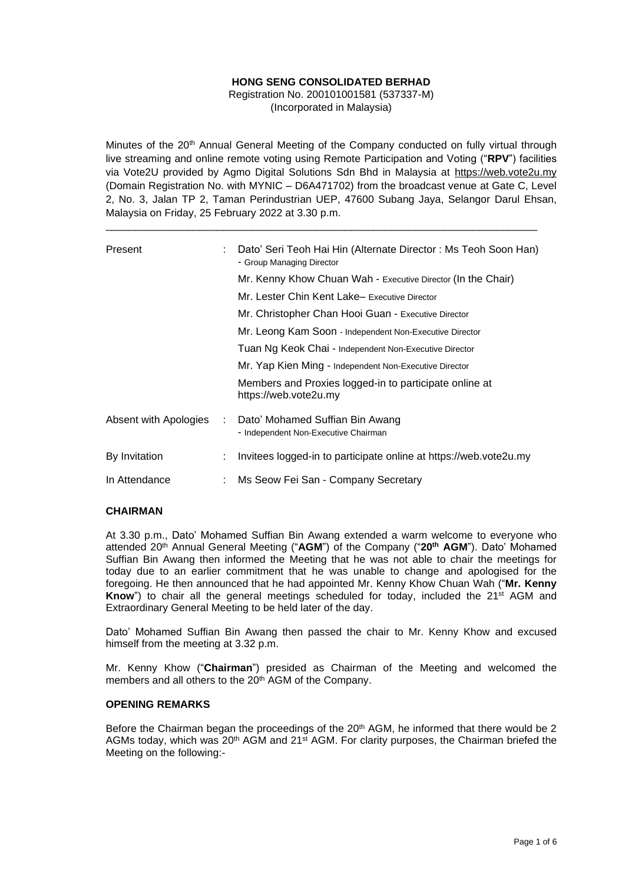## **HONG SENG CONSOLIDATED BERHAD**

Registration No. 200101001581 (537337-M) (Incorporated in Malaysia)

Minutes of the 20<sup>th</sup> Annual General Meeting of the Company conducted on fully virtual through live streaming and online remote voting using Remote Participation and Voting ("**RPV**") facilities via Vote2U provided by Agmo Digital Solutions Sdn Bhd in Malaysia at https://web.vote2u.my (Domain Registration No. with MYNIC – D6A471702) from the broadcast venue at Gate C, Level 2, No. 3, Jalan TP 2, Taman Perindustrian UEP, 47600 Subang Jaya, Selangor Darul Ehsan, Malaysia on Friday, 25 February 2022 at 3.30 p.m.

\_\_\_\_\_\_\_\_\_\_\_\_\_\_\_\_\_\_\_\_\_\_\_\_\_\_\_\_\_\_\_\_\_\_\_\_\_\_\_\_\_\_\_\_\_\_\_\_\_\_\_\_\_\_\_\_\_\_\_\_\_\_\_\_\_\_\_\_\_\_\_\_\_\_

| Present               |   | Dato' Seri Teoh Hai Hin (Alternate Director: Ms Teoh Soon Han)<br>- Group Managing Director                  |  |  |  |  |  |
|-----------------------|---|--------------------------------------------------------------------------------------------------------------|--|--|--|--|--|
|                       |   | Mr. Kenny Khow Chuan Wah - Executive Director (In the Chair)<br>Mr. Lester Chin Kent Lake-Executive Director |  |  |  |  |  |
|                       |   |                                                                                                              |  |  |  |  |  |
|                       |   | Mr. Christopher Chan Hooi Guan - Executive Director                                                          |  |  |  |  |  |
|                       |   | Mr. Leong Kam Soon - Independent Non-Executive Director                                                      |  |  |  |  |  |
|                       |   | Tuan Ng Keok Chai - Independent Non-Executive Director                                                       |  |  |  |  |  |
|                       |   | Mr. Yap Kien Ming - Independent Non-Executive Director                                                       |  |  |  |  |  |
|                       |   | Members and Proxies logged-in to participate online at<br>https://web.vote2u.my                              |  |  |  |  |  |
| Absent with Apologies | ÷ | Dato' Mohamed Suffian Bin Awang<br>- Independent Non-Executive Chairman                                      |  |  |  |  |  |
| By Invitation         | ÷ | Invitees logged-in to participate online at https://web.vote2u.my                                            |  |  |  |  |  |
| In Attendance         |   | Ms Seow Fei San - Company Secretary                                                                          |  |  |  |  |  |

### **CHAIRMAN**

At 3.30 p.m., Dato' Mohamed Suffian Bin Awang extended a warm welcome to everyone who attended 20<sup>th</sup> Annual General Meeting ("AGM") of the Company ("20<sup>th</sup> AGM"). Dato' Mohamed Suffian Bin Awang then informed the Meeting that he was not able to chair the meetings for today due to an earlier commitment that he was unable to change and apologised for the foregoing. He then announced that he had appointed Mr. Kenny Khow Chuan Wah ("**Mr. Kenny Know**") to chair all the general meetings scheduled for today, included the 21st AGM and Extraordinary General Meeting to be held later of the day.

Dato' Mohamed Suffian Bin Awang then passed the chair to Mr. Kenny Khow and excused himself from the meeting at 3.32 p.m.

Mr. Kenny Khow ("**Chairman**") presided as Chairman of the Meeting and welcomed the members and all others to the 20<sup>th</sup> AGM of the Company.

### **OPENING REMARKS**

Before the Chairman began the proceedings of the 20<sup>th</sup> AGM, he informed that there would be 2 AGMs today, which was  $20<sup>th</sup>$  AGM and  $21<sup>st</sup>$  AGM. For clarity purposes, the Chairman briefed the Meeting on the following:-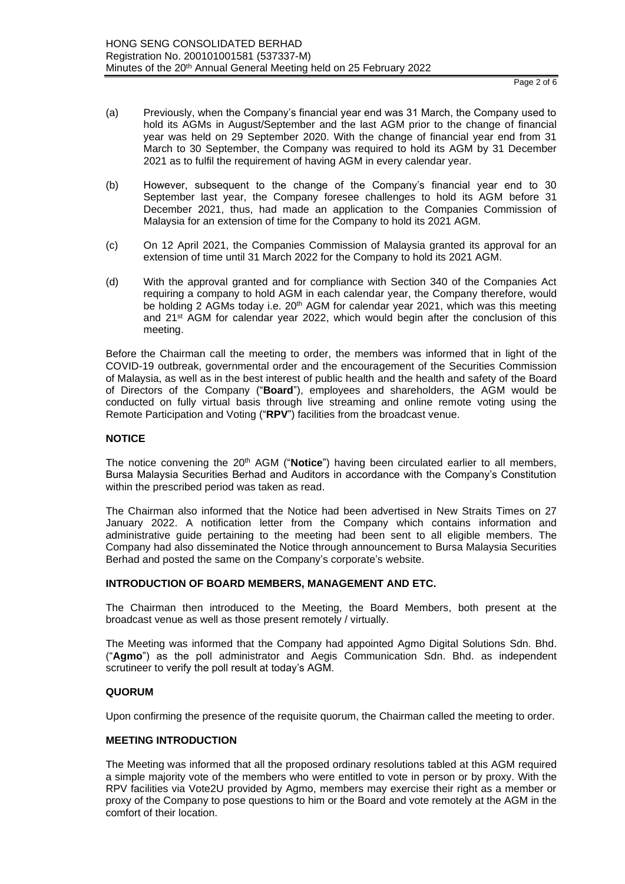Page 2 of 6

- (a) Previously, when the Company's financial year end was 31 March, the Company used to hold its AGMs in August/September and the last AGM prior to the change of financial year was held on 29 September 2020. With the change of financial year end from 31 March to 30 September, the Company was required to hold its AGM by 31 December 2021 as to fulfil the requirement of having AGM in every calendar year.
- (b) However, subsequent to the change of the Company's financial year end to 30 September last year, the Company foresee challenges to hold its AGM before 31 December 2021, thus, had made an application to the Companies Commission of Malaysia for an extension of time for the Company to hold its 2021 AGM.
- (c) On 12 April 2021, the Companies Commission of Malaysia granted its approval for an extension of time until 31 March 2022 for the Company to hold its 2021 AGM.
- (d) With the approval granted and for compliance with Section 340 of the Companies Act requiring a company to hold AGM in each calendar year, the Company therefore, would be holding 2 AGMs today i.e. 20<sup>th</sup> AGM for calendar year 2021, which was this meeting and 21st AGM for calendar year 2022, which would begin after the conclusion of this meeting.

Before the Chairman call the meeting to order, the members was informed that in light of the COVID-19 outbreak, governmental order and the encouragement of the Securities Commission of Malaysia, as well as in the best interest of public health and the health and safety of the Board of Directors of the Company ("**Board**"), employees and shareholders, the AGM would be conducted on fully virtual basis through live streaming and online remote voting using the Remote Participation and Voting ("**RPV**") facilities from the broadcast venue.

### **NOTICE**

The notice convening the 20<sup>th</sup> AGM ("**Notice**") having been circulated earlier to all members, Bursa Malaysia Securities Berhad and Auditors in accordance with the Company's Constitution within the prescribed period was taken as read.

The Chairman also informed that the Notice had been advertised in New Straits Times on 27 January 2022. A notification letter from the Company which contains information and administrative guide pertaining to the meeting had been sent to all eligible members. The Company had also disseminated the Notice through announcement to Bursa Malaysia Securities Berhad and posted the same on the Company's corporate's website.

### **INTRODUCTION OF BOARD MEMBERS, MANAGEMENT AND ETC.**

The Chairman then introduced to the Meeting, the Board Members, both present at the broadcast venue as well as those present remotely / virtually.

The Meeting was informed that the Company had appointed Agmo Digital Solutions Sdn. Bhd. ("**Agmo**") as the poll administrator and Aegis Communication Sdn. Bhd. as independent scrutineer to verify the poll result at today's AGM.

### **QUORUM**

Upon confirming the presence of the requisite quorum, the Chairman called the meeting to order.

## **MEETING INTRODUCTION**

The Meeting was informed that all the proposed ordinary resolutions tabled at this AGM required a simple majority vote of the members who were entitled to vote in person or by proxy. With the RPV facilities via Vote2U provided by Agmo, members may exercise their right as a member or proxy of the Company to pose questions to him or the Board and vote remotely at the AGM in the comfort of their location.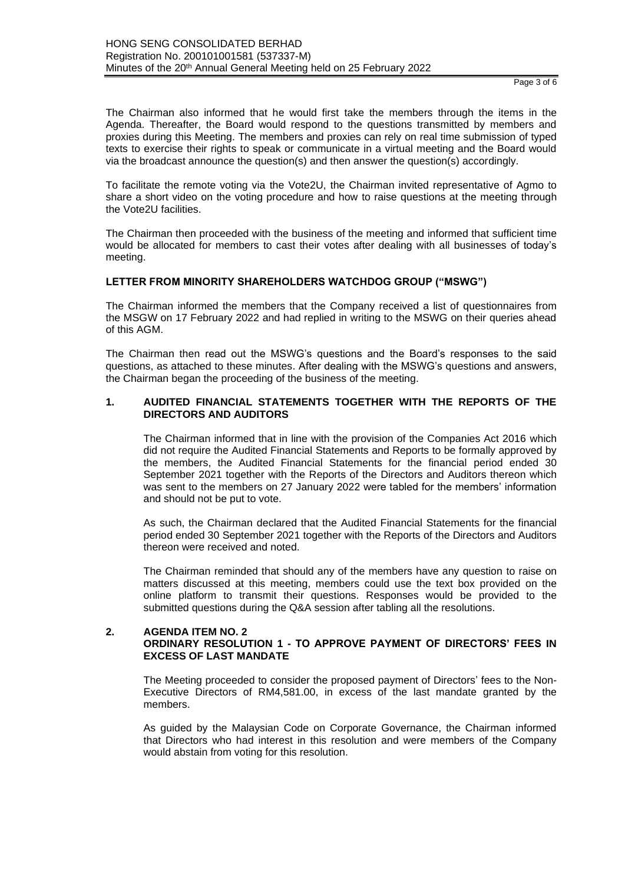The Chairman also informed that he would first take the members through the items in the Agenda. Thereafter, the Board would respond to the questions transmitted by members and proxies during this Meeting. The members and proxies can rely on real time submission of typed texts to exercise their rights to speak or communicate in a virtual meeting and the Board would via the broadcast announce the question(s) and then answer the question(s) accordingly.

To facilitate the remote voting via the Vote2U, the Chairman invited representative of Agmo to share a short video on the voting procedure and how to raise questions at the meeting through the Vote2U facilities.

The Chairman then proceeded with the business of the meeting and informed that sufficient time would be allocated for members to cast their votes after dealing with all businesses of today's meeting.

### **LETTER FROM MINORITY SHAREHOLDERS WATCHDOG GROUP ("MSWG")**

The Chairman informed the members that the Company received a list of questionnaires from the MSGW on 17 February 2022 and had replied in writing to the MSWG on their queries ahead of this AGM.

The Chairman then read out the MSWG's questions and the Board's responses to the said questions, as attached to these minutes. After dealing with the MSWG's questions and answers, the Chairman began the proceeding of the business of the meeting.

### **1. AUDITED FINANCIAL STATEMENTS TOGETHER WITH THE REPORTS OF THE DIRECTORS AND AUDITORS**

The Chairman informed that in line with the provision of the Companies Act 2016 which did not require the Audited Financial Statements and Reports to be formally approved by the members, the Audited Financial Statements for the financial period ended 30 September 2021 together with the Reports of the Directors and Auditors thereon which was sent to the members on 27 January 2022 were tabled for the members' information and should not be put to vote.

As such, the Chairman declared that the Audited Financial Statements for the financial period ended 30 September 2021 together with the Reports of the Directors and Auditors thereon were received and noted.

The Chairman reminded that should any of the members have any question to raise on matters discussed at this meeting, members could use the text box provided on the online platform to transmit their questions. Responses would be provided to the submitted questions during the Q&A session after tabling all the resolutions.

### **2. AGENDA ITEM NO. 2 ORDINARY RESOLUTION 1 - TO APPROVE PAYMENT OF DIRECTORS' FEES IN EXCESS OF LAST MANDATE**

The Meeting proceeded to consider the proposed payment of Directors' fees to the Non-Executive Directors of RM4,581.00, in excess of the last mandate granted by the members.

As guided by the Malaysian Code on Corporate Governance, the Chairman informed that Directors who had interest in this resolution and were members of the Company would abstain from voting for this resolution.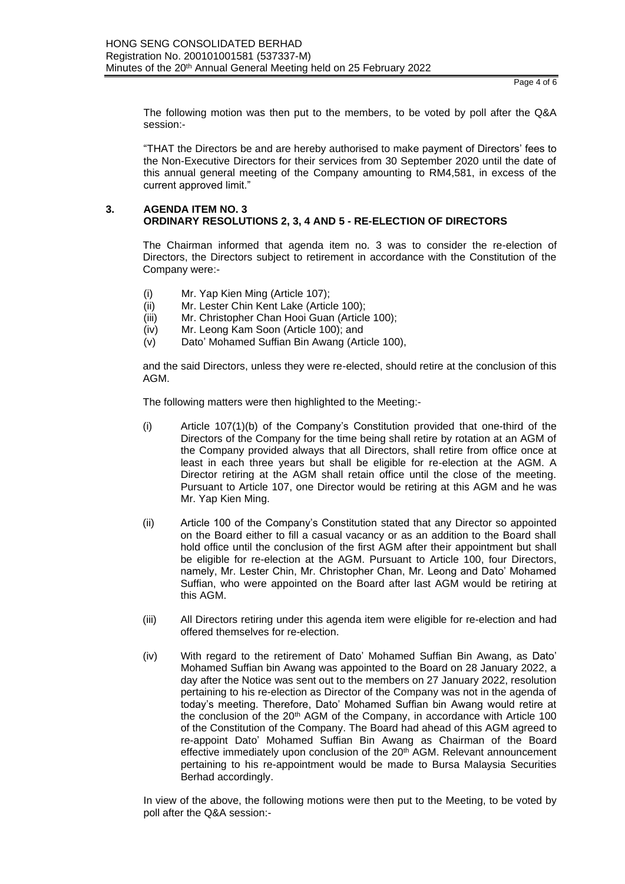The following motion was then put to the members, to be voted by poll after the Q&A session:-

"THAT the Directors be and are hereby authorised to make payment of Directors' fees to the Non-Executive Directors for their services from 30 September 2020 until the date of this annual general meeting of the Company amounting to RM4,581, in excess of the current approved limit."

### **3. AGENDA ITEM NO. 3 ORDINARY RESOLUTIONS 2, 3, 4 AND 5 - RE-ELECTION OF DIRECTORS**

The Chairman informed that agenda item no. 3 was to consider the re-election of Directors, the Directors subject to retirement in accordance with the Constitution of the Company were:-

- (i) Mr. Yap Kien Ming (Article 107);
- (ii) Mr. Lester Chin Kent Lake (Article 100);
- (iii) Mr. Christopher Chan Hooi Guan (Article 100);
- (iv) Mr. Leong Kam Soon (Article 100); and
- (v) Dato' Mohamed Suffian Bin Awang (Article 100),

and the said Directors, unless they were re-elected, should retire at the conclusion of this AGM.

The following matters were then highlighted to the Meeting:-

- (i) Article 107(1)(b) of the Company's Constitution provided that one-third of the Directors of the Company for the time being shall retire by rotation at an AGM of the Company provided always that all Directors, shall retire from office once at least in each three years but shall be eligible for re-election at the AGM. A Director retiring at the AGM shall retain office until the close of the meeting. Pursuant to Article 107, one Director would be retiring at this AGM and he was Mr. Yap Kien Ming.
- (ii) Article 100 of the Company's Constitution stated that any Director so appointed on the Board either to fill a casual vacancy or as an addition to the Board shall hold office until the conclusion of the first AGM after their appointment but shall be eligible for re-election at the AGM. Pursuant to Article 100, four Directors, namely, Mr. Lester Chin, Mr. Christopher Chan, Mr. Leong and Dato' Mohamed Suffian, who were appointed on the Board after last AGM would be retiring at this AGM.
- (iii) All Directors retiring under this agenda item were eligible for re-election and had offered themselves for re-election.
- (iv) With regard to the retirement of Dato' Mohamed Suffian Bin Awang, as Dato' Mohamed Suffian bin Awang was appointed to the Board on 28 January 2022, a day after the Notice was sent out to the members on 27 January 2022, resolution pertaining to his re-election as Director of the Company was not in the agenda of today's meeting. Therefore, Dato' Mohamed Suffian bin Awang would retire at the conclusion of the 20<sup>th</sup> AGM of the Company, in accordance with Article 100 of the Constitution of the Company. The Board had ahead of this AGM agreed to re-appoint Dato' Mohamed Suffian Bin Awang as Chairman of the Board effective immediately upon conclusion of the 20<sup>th</sup> AGM. Relevant announcement pertaining to his re-appointment would be made to Bursa Malaysia Securities Berhad accordingly.

In view of the above, the following motions were then put to the Meeting, to be voted by poll after the Q&A session:-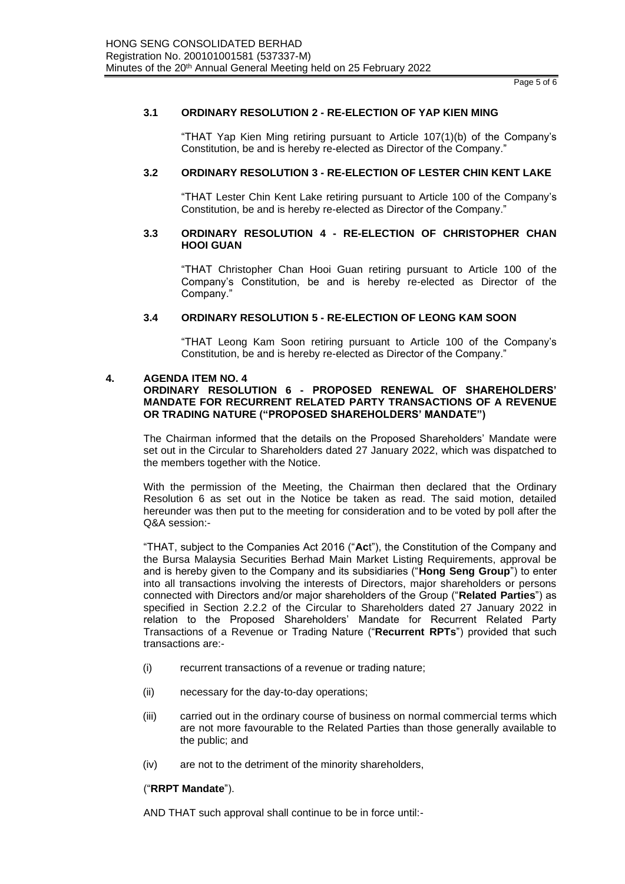### **3.1 ORDINARY RESOLUTION 2 - RE-ELECTION OF YAP KIEN MING**

"THAT Yap Kien Ming retiring pursuant to Article 107(1)(b) of the Company's Constitution, be and is hereby re-elected as Director of the Company."

### **3.2 ORDINARY RESOLUTION 3 - RE-ELECTION OF LESTER CHIN KENT LAKE**

"THAT Lester Chin Kent Lake retiring pursuant to Article 100 of the Company's Constitution, be and is hereby re-elected as Director of the Company."

### **3.3 ORDINARY RESOLUTION 4 - RE-ELECTION OF CHRISTOPHER CHAN HOOI GUAN**

"THAT Christopher Chan Hooi Guan retiring pursuant to Article 100 of the Company's Constitution, be and is hereby re-elected as Director of the Company."

### **3.4 ORDINARY RESOLUTION 5 - RE-ELECTION OF LEONG KAM SOON**

"THAT Leong Kam Soon retiring pursuant to Article 100 of the Company's Constitution, be and is hereby re-elected as Director of the Company."

### **4. AGENDA ITEM NO. 4**

### **ORDINARY RESOLUTION 6 - PROPOSED RENEWAL OF SHAREHOLDERS' MANDATE FOR RECURRENT RELATED PARTY TRANSACTIONS OF A REVENUE OR TRADING NATURE ("PROPOSED SHAREHOLDERS' MANDATE")**

The Chairman informed that the details on the Proposed Shareholders' Mandate were set out in the Circular to Shareholders dated 27 January 2022, which was dispatched to the members together with the Notice.

With the permission of the Meeting, the Chairman then declared that the Ordinary Resolution 6 as set out in the Notice be taken as read. The said motion, detailed hereunder was then put to the meeting for consideration and to be voted by poll after the Q&A session:-

"THAT, subject to the Companies Act 2016 ("**Ac**t"), the Constitution of the Company and the Bursa Malaysia Securities Berhad Main Market Listing Requirements, approval be and is hereby given to the Company and its subsidiaries ("**Hong Seng Group**") to enter into all transactions involving the interests of Directors, major shareholders or persons connected with Directors and/or major shareholders of the Group ("**Related Parties**") as specified in Section 2.2.2 of the Circular to Shareholders dated 27 January 2022 in relation to the Proposed Shareholders' Mandate for Recurrent Related Party Transactions of a Revenue or Trading Nature ("**Recurrent RPTs**") provided that such transactions are:-

- (i) recurrent transactions of a revenue or trading nature;
- (ii) necessary for the day-to-day operations;
- (iii) carried out in the ordinary course of business on normal commercial terms which are not more favourable to the Related Parties than those generally available to the public; and
- (iv) are not to the detriment of the minority shareholders,

### ("**RRPT Mandate**").

AND THAT such approval shall continue to be in force until:-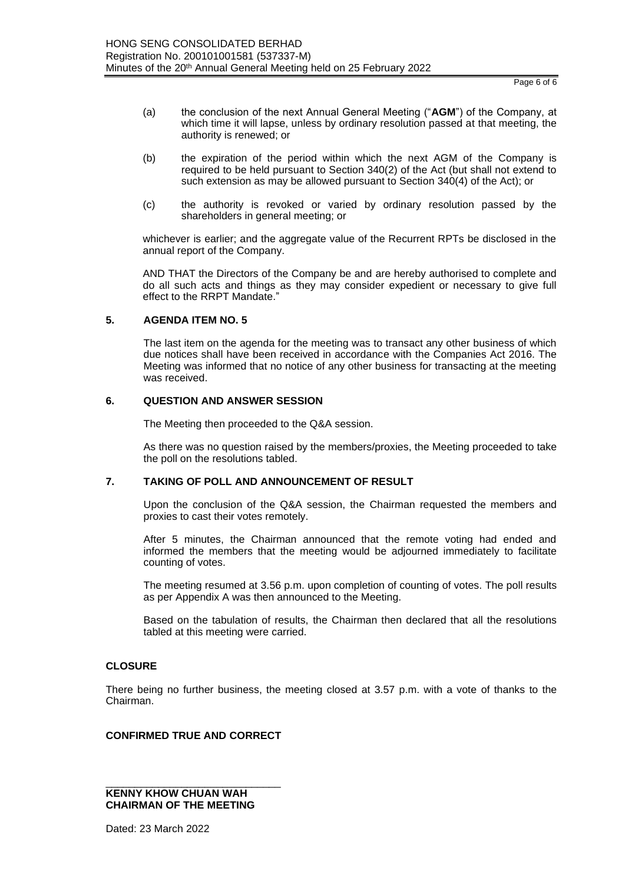Page 6 of 6

- (a) the conclusion of the next Annual General Meeting ("**AGM**") of the Company, at which time it will lapse, unless by ordinary resolution passed at that meeting, the authority is renewed; or
- (b) the expiration of the period within which the next AGM of the Company is required to be held pursuant to Section 340(2) of the Act (but shall not extend to such extension as may be allowed pursuant to Section 340(4) of the Act); or
- (c) the authority is revoked or varied by ordinary resolution passed by the shareholders in general meeting; or

whichever is earlier; and the aggregate value of the Recurrent RPTs be disclosed in the annual report of the Company.

AND THAT the Directors of the Company be and are hereby authorised to complete and do all such acts and things as they may consider expedient or necessary to give full effect to the RRPT Mandate."

### **5. AGENDA ITEM NO. 5**

The last item on the agenda for the meeting was to transact any other business of which due notices shall have been received in accordance with the Companies Act 2016. The Meeting was informed that no notice of any other business for transacting at the meeting was received.

### **6. QUESTION AND ANSWER SESSION**

The Meeting then proceeded to the Q&A session.

As there was no question raised by the members/proxies, the Meeting proceeded to take the poll on the resolutions tabled.

### **7. TAKING OF POLL AND ANNOUNCEMENT OF RESULT**

Upon the conclusion of the Q&A session, the Chairman requested the members and proxies to cast their votes remotely.

After 5 minutes, the Chairman announced that the remote voting had ended and informed the members that the meeting would be adjourned immediately to facilitate counting of votes.

The meeting resumed at 3.56 p.m. upon completion of counting of votes. The poll results as per Appendix A was then announced to the Meeting.

Based on the tabulation of results, the Chairman then declared that all the resolutions tabled at this meeting were carried.

### **CLOSURE**

There being no further business, the meeting closed at 3.57 p.m. with a vote of thanks to the Chairman.

### **CONFIRMED TRUE AND CORRECT**

### \_\_\_\_\_\_\_\_\_\_\_\_\_\_\_\_\_\_\_\_\_\_\_\_\_\_\_\_\_\_ **KENNY KHOW CHUAN WAH CHAIRMAN OF THE MEETING**

Dated: 23 March 2022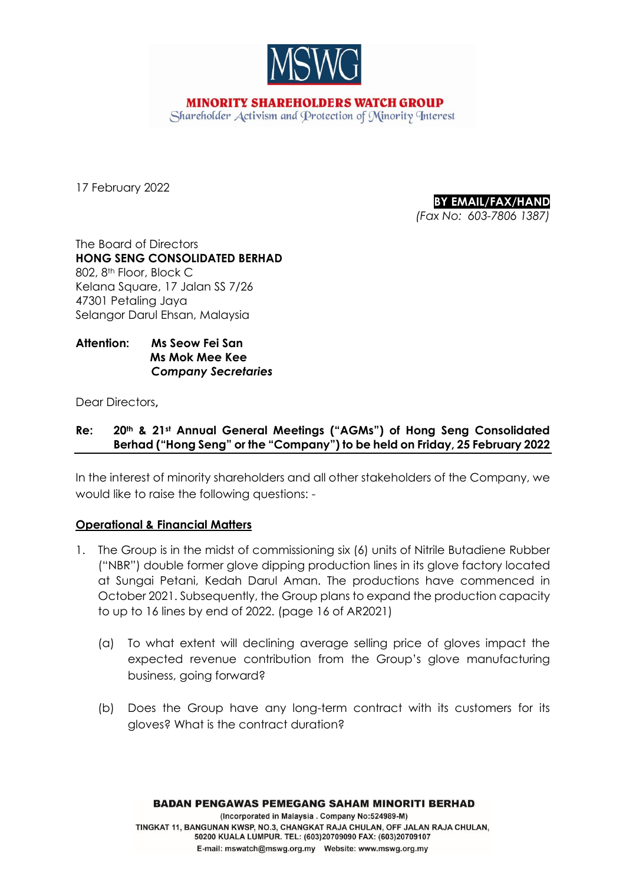

**MINORITY SHAREHOLDERS WATCH GROUP** Shareholder Activism and Protection of Minority Interest

17 February 2022

**BY EMAIL/FAX/HAND** *(Fax No: 603-7806 1387)*

The Board of Directors **HONG SENG CONSOLIDATED BERHAD** 802, 8<sup>th</sup> Floor, Block C Kelana Square, 17 Jalan SS 7/26 47301 Petaling Jaya Selangor Darul Ehsan, Malaysia

# **Attention: Ms Seow Fei San Ms Mok Mee Kee**  *Company Secretaries*

Dear Directors**,** 

# **Re: 20th & 21st Annual General Meetings ("AGMs") of Hong Seng Consolidated Berhad ("Hong Seng" or the "Company") to be held on Friday, 25 February 2022**

In the interest of minority shareholders and all other stakeholders of the Company, we would like to raise the following questions: -

# **Operational & Financial Matters**

- 1. The Group is in the midst of commissioning six (6) units of Nitrile Butadiene Rubber ("NBR") double former glove dipping production lines in its glove factory located at Sungai Petani, Kedah Darul Aman. The productions have commenced in October 2021. Subsequently, the Group plans to expand the production capacity to up to 16 lines by end of 2022. (page 16 of AR2021)
	- (a) To what extent will declining average selling price of gloves impact the expected revenue contribution from the Group's glove manufacturing business, going forward?
	- (b) Does the Group have any long-term contract with its customers for its gloves? What is the contract duration?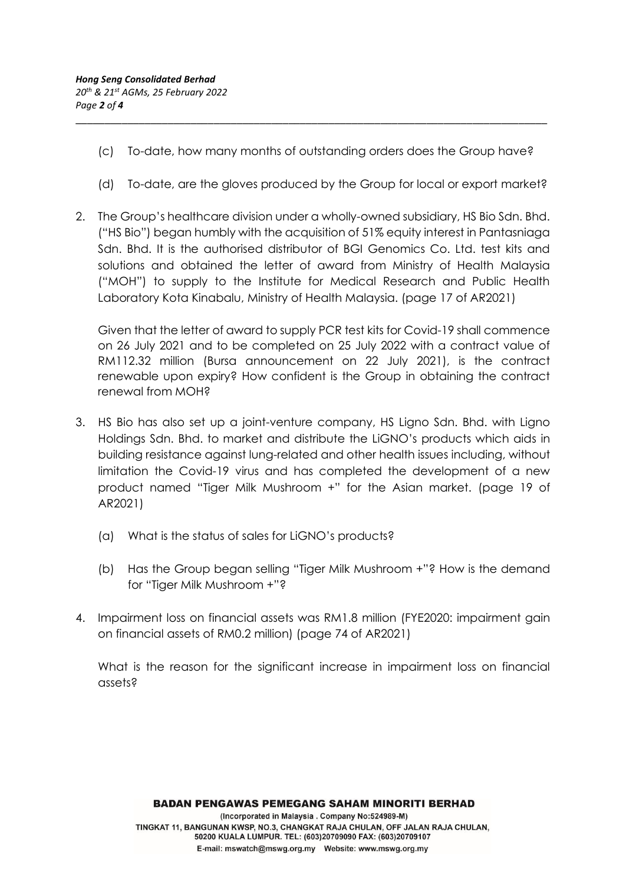(c) To-date, how many months of outstanding orders does the Group have?

\_\_\_\_\_\_\_\_\_\_\_\_\_\_\_\_\_\_\_\_\_\_\_\_\_\_\_\_\_\_\_\_\_\_\_\_\_\_\_\_\_\_\_\_\_\_\_\_\_\_\_\_\_\_\_\_\_\_\_\_\_\_\_\_\_\_\_\_\_\_\_\_\_\_\_\_\_\_\_\_\_\_

- (d) To-date, are the gloves produced by the Group for local or export market?
- 2. The Group's healthcare division under a wholly-owned subsidiary, HS Bio Sdn. Bhd. ("HS Bio") began humbly with the acquisition of 51% equity interest in Pantasniaga Sdn. Bhd. It is the authorised distributor of BGI Genomics Co. Ltd. test kits and solutions and obtained the letter of award from Ministry of Health Malaysia ("MOH") to supply to the Institute for Medical Research and Public Health Laboratory Kota Kinabalu, Ministry of Health Malaysia. (page 17 of AR2021)

Given that the letter of award to supply PCR test kits for Covid-19 shall commence on 26 July 2021 and to be completed on 25 July 2022 with a contract value of RM112.32 million (Bursa announcement on 22 July 2021), is the contract renewable upon expiry? How confident is the Group in obtaining the contract renewal from MOH?

- 3. HS Bio has also set up a joint-venture company, HS Ligno Sdn. Bhd. with Ligno Holdings Sdn. Bhd. to market and distribute the LiGNO's products which aids in building resistance against lung-related and other health issues including, without limitation the Covid-19 virus and has completed the development of a new product named "Tiger Milk Mushroom +" for the Asian market. (page 19 of AR2021)
	- (a) What is the status of sales for LiGNO's products?
	- (b) Has the Group began selling "Tiger Milk Mushroom +"? How is the demand for "Tiger Milk Mushroom +"?
- 4. Impairment loss on financial assets was RM1.8 million (FYE2020: impairment gain on financial assets of RM0.2 million) (page 74 of AR2021)

What is the reason for the significant increase in impairment loss on financial assets?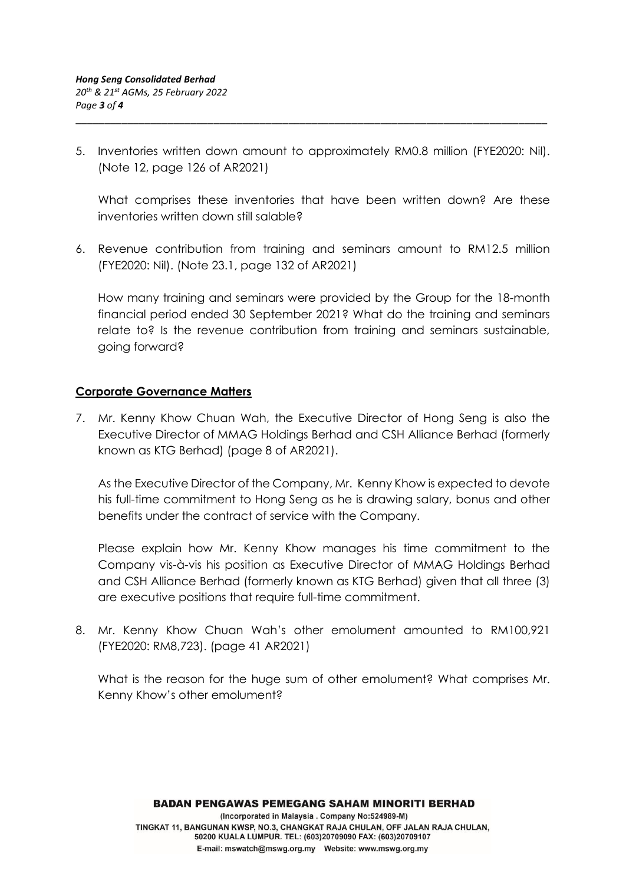5. Inventories written down amount to approximately RM0.8 million (FYE2020: Nil). (Note 12, page 126 of AR2021)

\_\_\_\_\_\_\_\_\_\_\_\_\_\_\_\_\_\_\_\_\_\_\_\_\_\_\_\_\_\_\_\_\_\_\_\_\_\_\_\_\_\_\_\_\_\_\_\_\_\_\_\_\_\_\_\_\_\_\_\_\_\_\_\_\_\_\_\_\_\_\_\_\_\_\_\_\_\_\_\_\_\_

What comprises these inventories that have been written down? Are these inventories written down still salable?

6. Revenue contribution from training and seminars amount to RM12.5 million (FYE2020: Nil). (Note 23.1, page 132 of AR2021)

How many training and seminars were provided by the Group for the 18-month financial period ended 30 September 2021? What do the training and seminars relate to? Is the revenue contribution from training and seminars sustainable, going forward?

# **Corporate Governance Matters**

7. Mr. Kenny Khow Chuan Wah, the Executive Director of Hong Seng is also the Executive Director of MMAG Holdings Berhad and CSH Alliance Berhad (formerly known as KTG Berhad) (page 8 of AR2021).

As the Executive Director of the Company, Mr. Kenny Khow is expected to devote his full-time commitment to Hong Seng as he is drawing salary, bonus and other benefits under the contract of service with the Company.

Please explain how Mr. Kenny Khow manages his time commitment to the Company vis-à-vis his position as Executive Director of MMAG Holdings Berhad and CSH Alliance Berhad (formerly known as KTG Berhad) given that all three (3) are executive positions that require full-time commitment.

8. Mr. Kenny Khow Chuan Wah's other emolument amounted to RM100,921 (FYE2020: RM8,723). (page 41 AR2021)

What is the reason for the huge sum of other emolument? What comprises Mr. Kenny Khow's other emolument?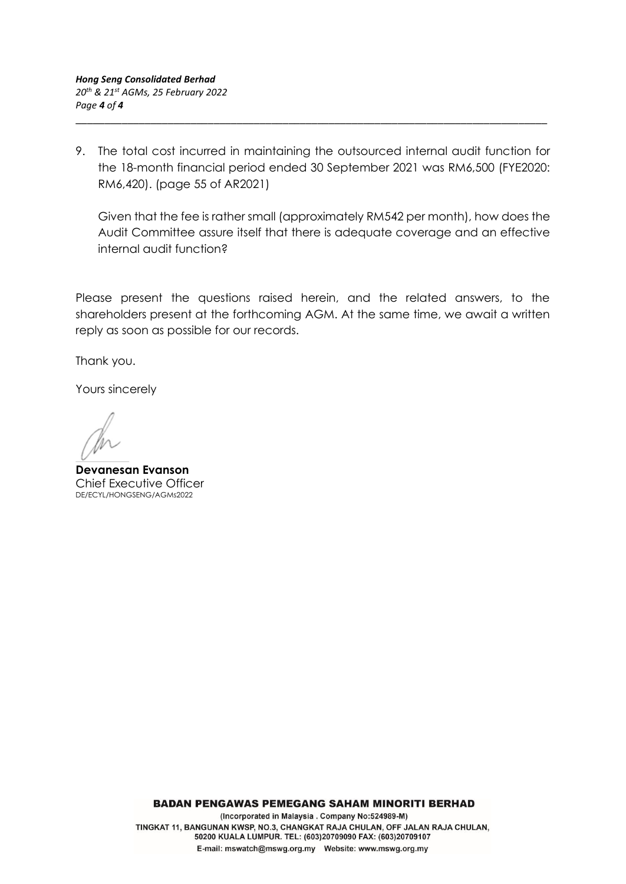9. The total cost incurred in maintaining the outsourced internal audit function for the 18-month financial period ended 30 September 2021 was RM6,500 (FYE2020: RM6,420). (page 55 of AR2021)

\_\_\_\_\_\_\_\_\_\_\_\_\_\_\_\_\_\_\_\_\_\_\_\_\_\_\_\_\_\_\_\_\_\_\_\_\_\_\_\_\_\_\_\_\_\_\_\_\_\_\_\_\_\_\_\_\_\_\_\_\_\_\_\_\_\_\_\_\_\_\_\_\_\_\_\_\_\_\_\_\_\_

Given that the fee is rather small (approximately RM542 per month), how does the Audit Committee assure itself that there is adequate coverage and an effective internal audit function?

Please present the questions raised herein, and the related answers, to the shareholders present at the forthcoming AGM. At the same time, we await a written reply as soon as possible for our records.

Thank you.

Yours sincerely

**Devanesan Evanson**  Chief Executive Officer DE/ECYL/HONGSENG/AGMs2022

**BADAN PENGAWAS PEMEGANG SAHAM MINORITI BERHAD** 

(Incorporated in Malaysia . Company No:524989-M) TINGKAT 11, BANGUNAN KWSP, NO.3, CHANGKAT RAJA CHULAN, OFF JALAN RAJA CHULAN, 50200 KUALA LUMPUR. TEL: (603)20709090 FAX: (603)20709107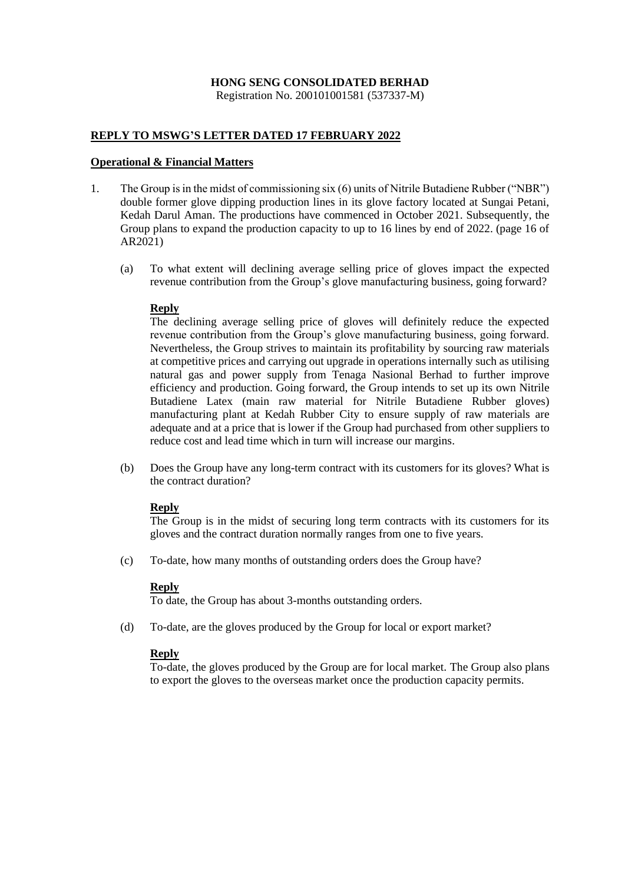### **HONG SENG CONSOLIDATED BERHAD** Registration No. 200101001581 (537337-M)

### **REPLY TO MSWG'S LETTER DATED 17 FEBRUARY 2022**

### **Operational & Financial Matters**

- 1. The Group is in the midst of commissioning six (6) units of Nitrile Butadiene Rubber ("NBR") double former glove dipping production lines in its glove factory located at Sungai Petani, Kedah Darul Aman. The productions have commenced in October 2021. Subsequently, the Group plans to expand the production capacity to up to 16 lines by end of 2022. (page 16 of AR2021)
	- (a) To what extent will declining average selling price of gloves impact the expected revenue contribution from the Group's glove manufacturing business, going forward?

### **Reply**

The declining average selling price of gloves will definitely reduce the expected revenue contribution from the Group's glove manufacturing business, going forward. Nevertheless, the Group strives to maintain its profitability by sourcing raw materials at competitive prices and carrying out upgrade in operations internally such as utilising natural gas and power supply from Tenaga Nasional Berhad to further improve efficiency and production. Going forward, the Group intends to set up its own Nitrile Butadiene Latex (main raw material for Nitrile Butadiene Rubber gloves) manufacturing plant at Kedah Rubber City to ensure supply of raw materials are adequate and at a price that is lower if the Group had purchased from other suppliers to reduce cost and lead time which in turn will increase our margins.

(b) Does the Group have any long-term contract with its customers for its gloves? What is the contract duration?

## **Reply**

The Group is in the midst of securing long term contracts with its customers for its gloves and the contract duration normally ranges from one to five years.

(c) To-date, how many months of outstanding orders does the Group have?

### **Reply**

To date, the Group has about 3-months outstanding orders.

(d) To-date, are the gloves produced by the Group for local or export market?

### **Reply**

To-date, the gloves produced by the Group are for local market. The Group also plans to export the gloves to the overseas market once the production capacity permits.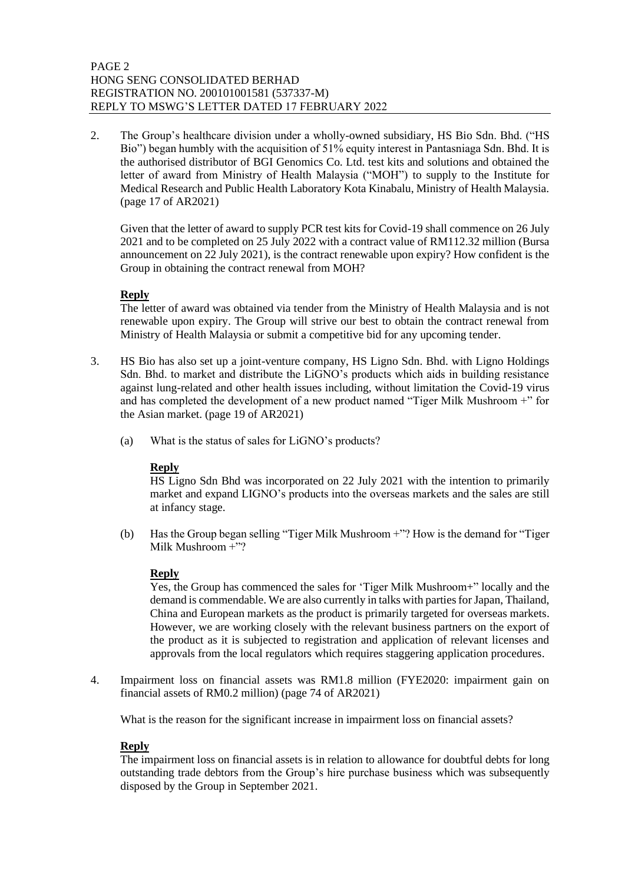2. The Group's healthcare division under a wholly-owned subsidiary, HS Bio Sdn. Bhd. ("HS Bio") began humbly with the acquisition of 51% equity interest in Pantasniaga Sdn. Bhd. It is the authorised distributor of BGI Genomics Co. Ltd. test kits and solutions and obtained the letter of award from Ministry of Health Malaysia ("MOH") to supply to the Institute for Medical Research and Public Health Laboratory Kota Kinabalu, Ministry of Health Malaysia. (page 17 of AR2021)

Given that the letter of award to supply PCR test kits for Covid-19 shall commence on 26 July 2021 and to be completed on 25 July 2022 with a contract value of RM112.32 million (Bursa announcement on 22 July 2021), is the contract renewable upon expiry? How confident is the Group in obtaining the contract renewal from MOH?

## **Reply**

The letter of award was obtained via tender from the Ministry of Health Malaysia and is not renewable upon expiry. The Group will strive our best to obtain the contract renewal from Ministry of Health Malaysia or submit a competitive bid for any upcoming tender.

- 3. HS Bio has also set up a joint-venture company, HS Ligno Sdn. Bhd. with Ligno Holdings Sdn. Bhd. to market and distribute the LiGNO's products which aids in building resistance against lung-related and other health issues including, without limitation the Covid-19 virus and has completed the development of a new product named "Tiger Milk Mushroom +" for the Asian market. (page 19 of AR2021)
	- (a) What is the status of sales for LiGNO's products?

## **Reply**

HS Ligno Sdn Bhd was incorporated on 22 July 2021 with the intention to primarily market and expand LIGNO's products into the overseas markets and the sales are still at infancy stage.

(b) Has the Group began selling "Tiger Milk Mushroom +"? How is the demand for "Tiger Milk Mushroom +"?

### **Reply**

Yes, the Group has commenced the sales for 'Tiger Milk Mushroom+" locally and the demand is commendable. We are also currently in talks with parties for Japan, Thailand, China and European markets as the product is primarily targeted for overseas markets. However, we are working closely with the relevant business partners on the export of the product as it is subjected to registration and application of relevant licenses and approvals from the local regulators which requires staggering application procedures.

4. Impairment loss on financial assets was RM1.8 million (FYE2020: impairment gain on financial assets of RM0.2 million) (page 74 of AR2021)

What is the reason for the significant increase in impairment loss on financial assets?

## **Reply**

The impairment loss on financial assets is in relation to allowance for doubtful debts for long outstanding trade debtors from the Group's hire purchase business which was subsequently disposed by the Group in September 2021.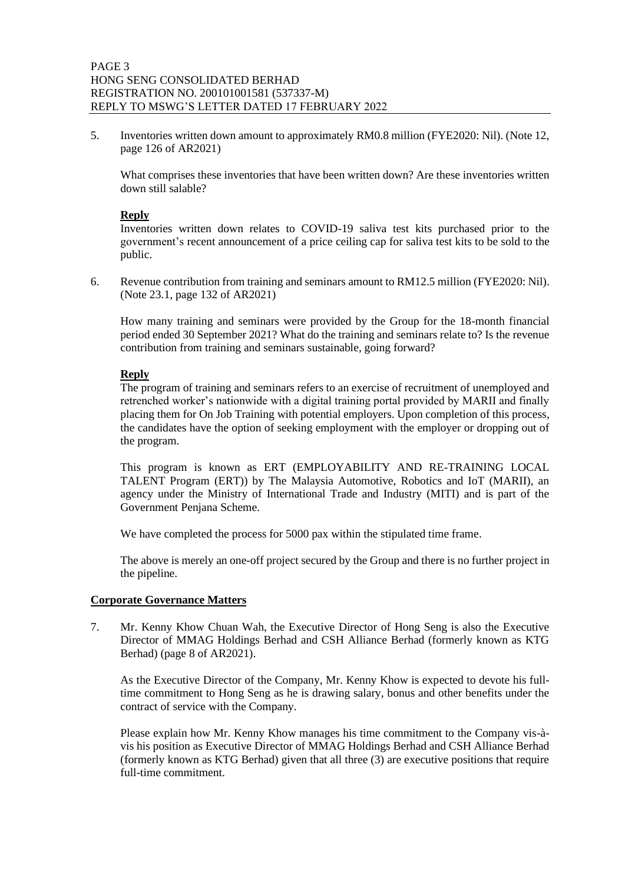5. Inventories written down amount to approximately RM0.8 million (FYE2020: Nil). (Note 12, page 126 of AR2021)

What comprises these inventories that have been written down? Are these inventories written down still salable?

## **Reply**

Inventories written down relates to COVID-19 saliva test kits purchased prior to the government's recent announcement of a price ceiling cap for saliva test kits to be sold to the public.

6. Revenue contribution from training and seminars amount to RM12.5 million (FYE2020: Nil). (Note 23.1, page 132 of AR2021)

How many training and seminars were provided by the Group for the 18-month financial period ended 30 September 2021? What do the training and seminars relate to? Is the revenue contribution from training and seminars sustainable, going forward?

## **Reply**

The program of training and seminars refers to an exercise of recruitment of unemployed and retrenched worker's nationwide with a digital training portal provided by MARII and finally placing them for On Job Training with potential employers. Upon completion of this process, the candidates have the option of seeking employment with the employer or dropping out of the program.

This program is known as ERT (EMPLOYABILITY AND RE-TRAINING LOCAL TALENT Program (ERT)) by The Malaysia Automotive, Robotics and IoT (MARII), an agency under the Ministry of International Trade and Industry (MITI) and is part of the Government Penjana Scheme.

We have completed the process for 5000 pax within the stipulated time frame.

The above is merely an one-off project secured by the Group and there is no further project in the pipeline.

### **Corporate Governance Matters**

7. Mr. Kenny Khow Chuan Wah, the Executive Director of Hong Seng is also the Executive Director of MMAG Holdings Berhad and CSH Alliance Berhad (formerly known as KTG Berhad) (page 8 of AR2021).

As the Executive Director of the Company, Mr. Kenny Khow is expected to devote his fulltime commitment to Hong Seng as he is drawing salary, bonus and other benefits under the contract of service with the Company.

Please explain how Mr. Kenny Khow manages his time commitment to the Company vis-àvis his position as Executive Director of MMAG Holdings Berhad and CSH Alliance Berhad (formerly known as KTG Berhad) given that all three (3) are executive positions that require full-time commitment.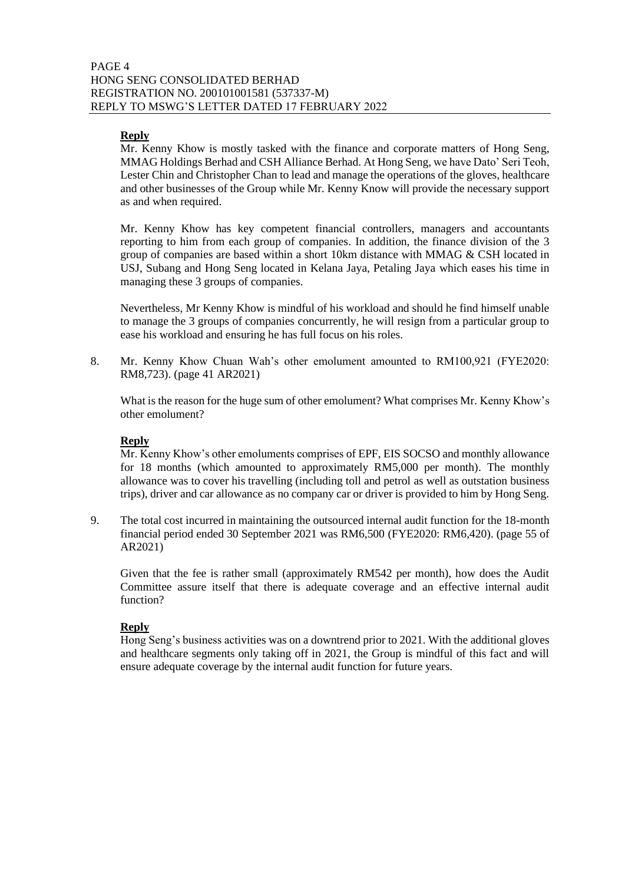## **Reply**

Mr. Kenny Khow is mostly tasked with the finance and corporate matters of Hong Seng, MMAG Holdings Berhad and CSH Alliance Berhad. At Hong Seng, we have Dato' Seri Teoh, Lester Chin and Christopher Chan to lead and manage the operations of the gloves, healthcare and other businesses of the Group while Mr. Kenny Know will provide the necessary support as and when required.

Mr. Kenny Khow has key competent financial controllers, managers and accountants reporting to him from each group of companies. In addition, the finance division of the 3 group of companies are based within a short 10km distance with MMAG & CSH located in USJ, Subang and Hong Seng located in Kelana Jaya, Petaling Jaya which eases his time in managing these 3 groups of companies.

Nevertheless, Mr Kenny Khow is mindful of his workload and should he find himself unable to manage the 3 groups of companies concurrently, he will resign from a particular group to ease his workload and ensuring he has full focus on his roles.

8. Mr. Kenny Khow Chuan Wah's other emolument amounted to RM100,921 (FYE2020: RM8,723). (page 41 AR2021)

What is the reason for the huge sum of other emolument? What comprises Mr. Kenny Khow's other emolument?

## **Reply**

Mr. Kenny Khow's other emoluments comprises of EPF, EIS SOCSO and monthly allowance for 18 months (which amounted to approximately RM5,000 per month). The monthly allowance was to cover his travelling (including toll and petrol as well as outstation business trips), driver and car allowance as no company car or driver is provided to him by Hong Seng.

9. The total cost incurred in maintaining the outsourced internal audit function for the 18-month financial period ended 30 September 2021 was RM6,500 (FYE2020: RM6,420). (page 55 of AR2021)

Given that the fee is rather small (approximately RM542 per month), how does the Audit Committee assure itself that there is adequate coverage and an effective internal audit function?

## **Reply**

Hong Seng's business activities was on a downtrend prior to 2021. With the additional gloves and healthcare segments only taking off in 2021, the Group is mindful of this fact and will ensure adequate coverage by the internal audit function for future years.